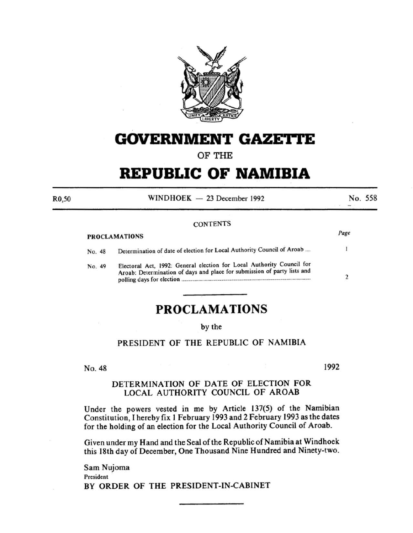

## **GOVERNMENT GAZETTE**

OF THE

# **REPUBLIC OF NAMIBIA**

 $WINDHOEK - 23 December 1992$  No. 558

#### **CONTENTS**

|                      | Page |
|----------------------|------|
| <b>PROCLAMATIONS</b> |      |

R0,50

| No. 48 | Determination of date of election for Local Authority Council of Aroab                                                                            |  |
|--------|---------------------------------------------------------------------------------------------------------------------------------------------------|--|
| No. 49 | Electoral Act, 1992: General election for Local Authority Council for<br>Aroab: Determination of days and place for submission of party lists and |  |

## **PROCLAMATIONS**

by the

### PRESIDENT OF THE REPUBLIC OF NAMIBIA

No. 48

1992

### DETERMINATION OF DATE OF ELECTION FOR LOCAL AUTHORITY COUNCIL OF AROAB

Under the powers vested in me by Article 137(5) of the Namibian Constitution, I hereby fix I February 1993 and 2 February 1993 as the dates for the holding of an election for the Local Authority Council of Aroab.

Given under my Hand and the Seal of the Republic of Namibia at Windhoek this 18th day of December, One Thousand Nine Hundred and Ninety-two.

Sam Nujoma President BY ORDER OF THE PRESIDENT-IN-CABINET